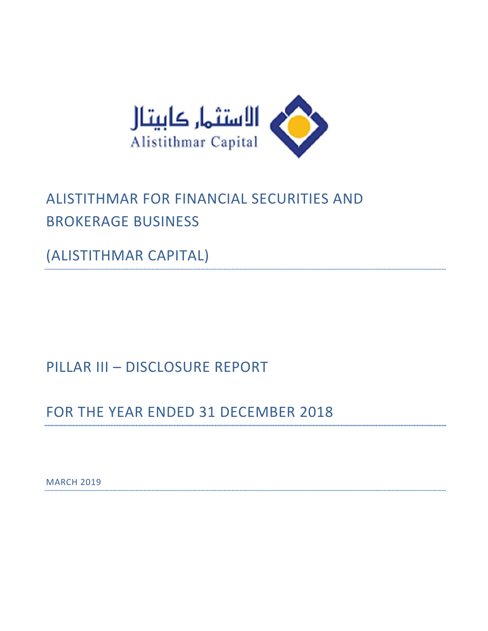

# ALISTITHMAR FOR FINANCIAL SECURITIES AND BROKERAGE BUSINESS

(ALISTITHMAR CAPITAL)

PILLAR III – DISCLOSURE REPORT

FOR THE YEAR ENDED 31 DECEMBER 2018

**MARCH 2019**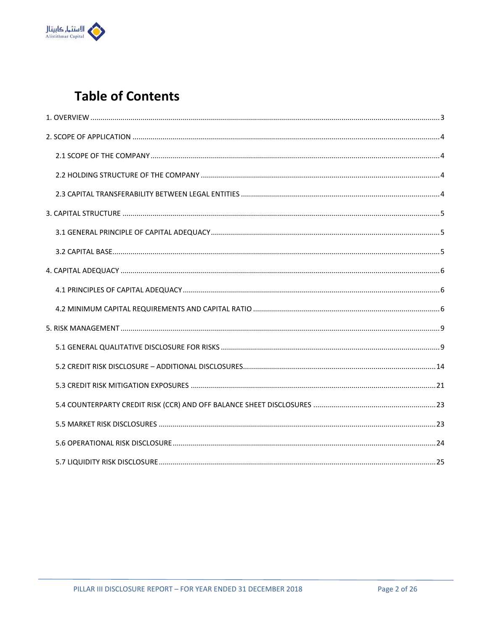

# **Table of Contents**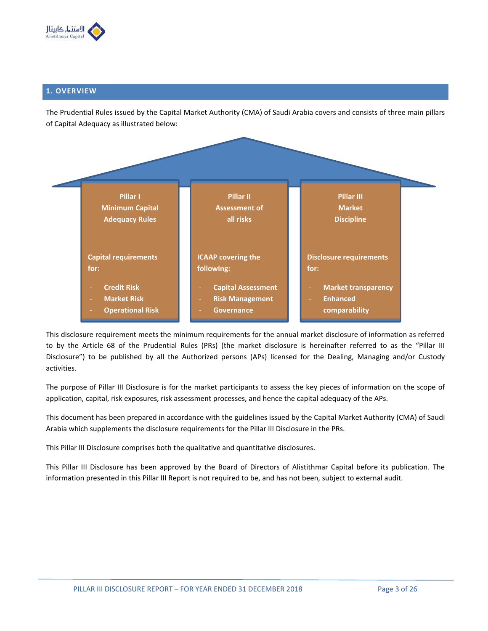

# **1. OVERVIEW**

The Prudential Rules issued by the Capital Market Authority (CMA) of Saudi Arabia covers and consists of three main pillars of Capital Adequacy as illustrated below:



This disclosure requirement meets the minimum requirements for the annual market disclosure of information as referred to by the Article 68 of the Prudential Rules (PRs) (the market disclosure is hereinafter referred to as the "Pillar III Disclosure") to be published by all the Authorized persons (APs) licensed for the Dealing, Managing and/or Custody activities.

The purpose of Pillar III Disclosure is for the market participants to assess the key pieces of information on the scope of application, capital, risk exposures, risk assessment processes, and hence the capital adequacy of the APs.

This document has been prepared in accordance with the guidelines issued by the Capital Market Authority (CMA) of Saudi Arabia which supplements the disclosure requirements for the Pillar III Disclosure in the PRs.

This Pillar III Disclosure comprises both the qualitative and quantitative disclosures.

This Pillar III Disclosure has been approved by the Board of Directors of Alistithmar Capital before its publication. The information presented in this Pillar III Report is not required to be, and has not been, subject to external audit.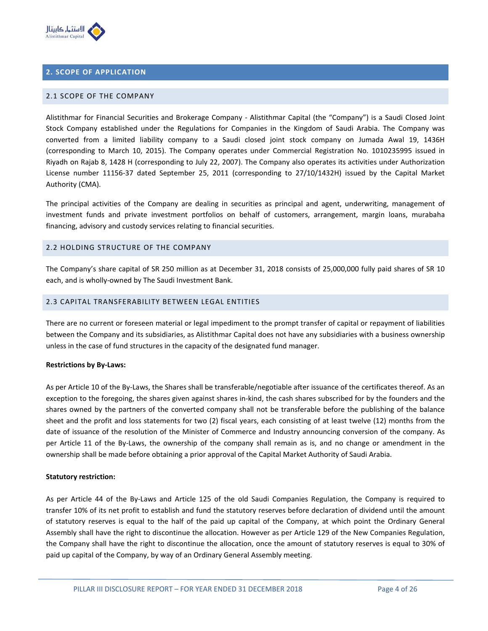

# **2. SCOPE OF APPLICATION**

#### 2.1 SCOPE OF THE COMPANY

Alistithmar for Financial Securities and Brokerage Company - Alistithmar Capital (the "Company") is a Saudi Closed Joint Stock Company established under the Regulations for Companies in the Kingdom of Saudi Arabia. The Company was converted from a limited liability company to a Saudi closed joint stock company on Jumada Awal 19, 1436H (corresponding to March 10, 2015). The Company operates under Commercial Registration No. 1010235995 issued in Riyadh on Rajab 8, 1428 H (corresponding to July 22, 2007). The Company also operates its activities under Authorization License number 11156-37 dated September 25, 2011 (corresponding to 27/10/1432H) issued by the Capital Market Authority (CMA).

The principal activities of the Company are dealing in securities as principal and agent, underwriting, management of investment funds and private investment portfolios on behalf of customers, arrangement, margin loans, murabaha financing, advisory and custody services relating to financial securities.

#### 2.2 HOLDING STRUCTURE OF THE COMPANY

The Company's share capital of SR 250 million as at December 31, 2018 consists of 25,000,000 fully paid shares of SR 10 each, and is wholly-owned by The Saudi Investment Bank.

# 2.3 CAPITAL TRANSFERABILITY BETWEEN LEGAL ENTITIES

There are no current or foreseen material or legal impediment to the prompt transfer of capital or repayment of liabilities between the Company and its subsidiaries, as Alistithmar Capital does not have any subsidiaries with a business ownership unless in the case of fund structures in the capacity of the designated fund manager.

#### **Restrictions by By-Laws:**

As per Article 10 of the By-Laws, the Shares shall be transferable/negotiable after issuance of the certificates thereof. As an exception to the foregoing, the shares given against shares in-kind, the cash shares subscribed for by the founders and the shares owned by the partners of the converted company shall not be transferable before the publishing of the balance sheet and the profit and loss statements for two (2) fiscal years, each consisting of at least twelve (12) months from the date of issuance of the resolution of the Minister of Commerce and Industry announcing conversion of the company. As per Article 11 of the By-Laws, the ownership of the company shall remain as is, and no change or amendment in the ownership shall be made before obtaining a prior approval of the Capital Market Authority of Saudi Arabia.

#### **Statutory restriction:**

As per Article 44 of the By-Laws and Article 125 of the old Saudi Companies Regulation, the Company is required to transfer 10% of its net profit to establish and fund the statutory reserves before declaration of dividend until the amount of statutory reserves is equal to the half of the paid up capital of the Company, at which point the Ordinary General Assembly shall have the right to discontinue the allocation. However as per Article 129 of the New Companies Regulation, the Company shall have the right to discontinue the allocation, once the amount of statutory reserves is equal to 30% of paid up capital of the Company, by way of an Ordinary General Assembly meeting.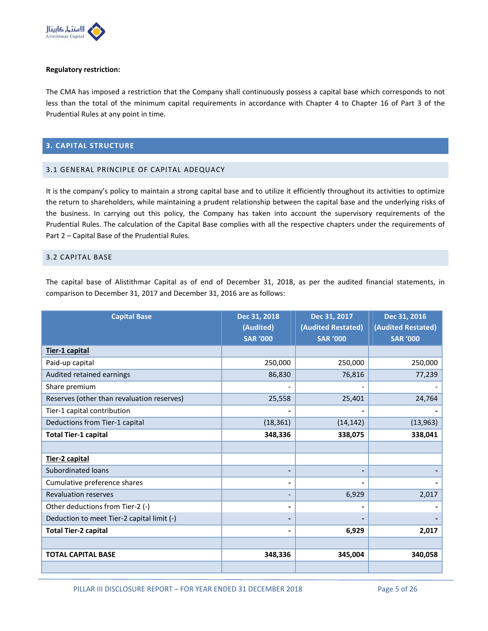

#### **Regulatory restriction:**

The CMA has imposed a restriction that the Company shall continuously possess a capital base which corresponds to not less than the total of the minimum capital requirements in accordance with Chapter 4 to Chapter 16 of Part 3 of the Prudential Rules at any point in time.

# **3. CAPITAL STRUCTURE**

#### 3.1 GENERAL PRINCIPLE OF CAPITAL ADEQUACY

It is the company's policy to maintain a strong capital base and to utilize it efficiently throughout its activities to optimize the return to shareholders, while maintaining a prudent relationship between the capital base and the underlying risks of the business. In carrying out this policy, the Company has taken into account the supervisory requirements of the Prudential Rules. The calculation of the Capital Base complies with all the respective chapters under the requirements of Part 2 – Capital Base of the Prudential Rules.

# 3.2 CAPITAL BASE

The capital base of Alistithmar Capital as of end of December 31, 2018, as per the audited financial statements, in comparison to December 31, 2017 and December 31, 2016 are as follows:

| <b>Capital Base</b>                        | Dec 31, 2018<br>(Audited)<br><b>SAR '000</b> | Dec 31, 2017<br>(Audited Restated)<br><b>SAR '000</b> | Dec 31, 2016<br>(Audited Restated)<br><b>SAR '000</b> |
|--------------------------------------------|----------------------------------------------|-------------------------------------------------------|-------------------------------------------------------|
| Tier-1 capital                             |                                              |                                                       |                                                       |
| Paid-up capital                            | 250,000                                      | 250,000                                               | 250,000                                               |
| Audited retained earnings                  | 86,830                                       | 76,816                                                | 77,239                                                |
| Share premium                              |                                              |                                                       |                                                       |
| Reserves (other than revaluation reserves) | 25,558                                       | 25,401                                                | 24,764                                                |
| Tier-1 capital contribution                |                                              |                                                       |                                                       |
| Deductions from Tier-1 capital             | (18, 361)                                    | (14, 142)                                             | (13, 963)                                             |
| <b>Total Tier-1 capital</b>                | 348,336                                      | 338,075                                               | 338,041                                               |
|                                            |                                              |                                                       |                                                       |
| Tier-2 capital                             |                                              |                                                       |                                                       |
| Subordinated loans                         | $\blacksquare$                               |                                                       |                                                       |
| Cumulative preference shares               | $\blacksquare$                               |                                                       |                                                       |
| <b>Revaluation reserves</b>                | $\overline{\phantom{a}}$                     | 6,929                                                 | 2,017                                                 |
| Other deductions from Tier-2 (-)           | $\blacksquare$                               |                                                       |                                                       |
| Deduction to meet Tier-2 capital limit (-) | $\blacksquare$                               |                                                       |                                                       |
| <b>Total Tier-2 capital</b>                | $\blacksquare$                               | 6,929                                                 | 2,017                                                 |
|                                            |                                              |                                                       |                                                       |
| <b>TOTAL CAPITAL BASE</b>                  | 348,336                                      | 345,004                                               | 340,058                                               |
|                                            |                                              |                                                       |                                                       |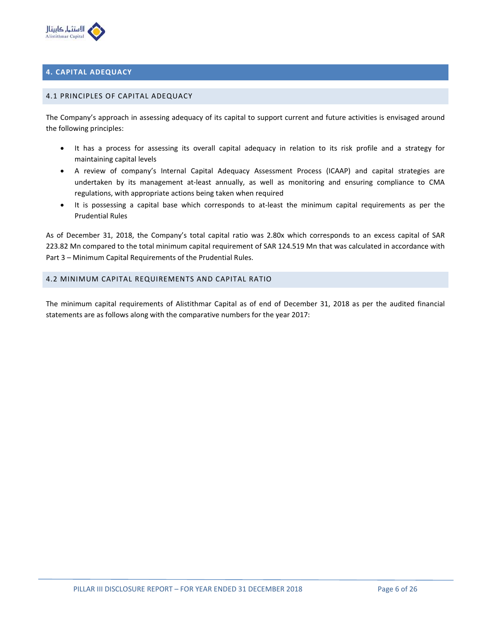

# **4. CAPITAL ADEQUACY**

#### 4.1 PRINCIPLES OF CAPITAL ADEQUACY

The Company's approach in assessing adequacy of its capital to support current and future activities is envisaged around the following principles:

- It has a process for assessing its overall capital adequacy in relation to its risk profile and a strategy for maintaining capital levels
- A review of company's Internal Capital Adequacy Assessment Process (ICAAP) and capital strategies are undertaken by its management at-least annually, as well as monitoring and ensuring compliance to CMA regulations, with appropriate actions being taken when required
- It is possessing a capital base which corresponds to at-least the minimum capital requirements as per the Prudential Rules

As of December 31, 2018, the Company's total capital ratio was 2.80x which corresponds to an excess capital of SAR 223.82 Mn compared to the total minimum capital requirement of SAR 124.519 Mn that was calculated in accordance with Part 3 – Minimum Capital Requirements of the Prudential Rules.

# 4.2 MINIMUM CAPITAL REQUIREMENTS AND CAPITAL RATIO

The minimum capital requirements of Alistithmar Capital as of end of December 31, 2018 as per the audited financial statements are as follows along with the comparative numbers for the year 2017: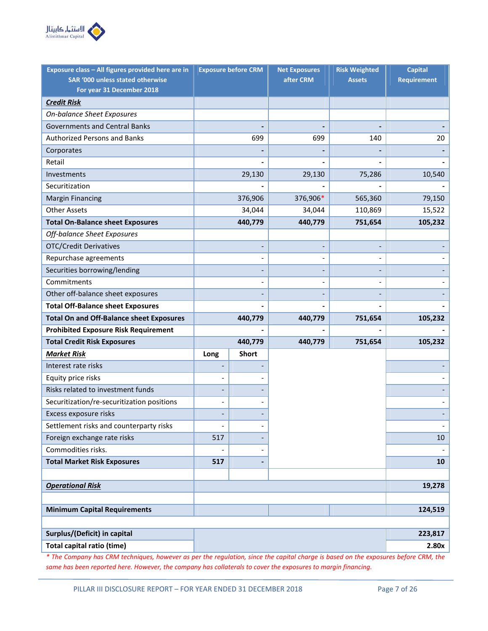

| Exposure class - All figures provided here are in | <b>Exposure before CRM</b> |                          | <b>Net Exposures</b> | <b>Risk Weighted</b> | <b>Capital</b>     |
|---------------------------------------------------|----------------------------|--------------------------|----------------------|----------------------|--------------------|
| SAR '000 unless stated otherwise                  |                            |                          | after CRM            | <b>Assets</b>        | <b>Requirement</b> |
| For year 31 December 2018                         |                            |                          |                      |                      |                    |
| <b>Credit Risk</b>                                |                            |                          |                      |                      |                    |
| <b>On-balance Sheet Exposures</b>                 |                            |                          |                      |                      |                    |
| <b>Governments and Central Banks</b>              |                            |                          |                      |                      |                    |
| <b>Authorized Persons and Banks</b>               |                            | 699                      | 699                  | 140                  | 20                 |
| Corporates                                        |                            |                          |                      |                      |                    |
| Retail                                            |                            |                          |                      |                      |                    |
| Investments                                       |                            | 29,130                   | 29,130               | 75,286               | 10,540             |
| Securitization                                    |                            |                          |                      |                      |                    |
| <b>Margin Financing</b>                           |                            | 376,906                  | 376,906*             | 565,360              | 79,150             |
| <b>Other Assets</b>                               |                            | 34,044                   | 34,044               | 110,869              | 15,522             |
| <b>Total On-Balance sheet Exposures</b>           |                            | 440,779                  | 440,779              | 751,654              | 105,232            |
| Off-balance Sheet Exposures                       |                            |                          |                      |                      |                    |
| <b>OTC/Credit Derivatives</b>                     |                            |                          |                      |                      |                    |
| Repurchase agreements                             |                            | $\overline{\phantom{a}}$ |                      |                      |                    |
| Securities borrowing/lending                      |                            |                          |                      |                      |                    |
| Commitments                                       |                            |                          |                      |                      |                    |
| Other off-balance sheet exposures                 |                            |                          |                      |                      |                    |
| <b>Total Off-Balance sheet Exposures</b>          |                            |                          |                      |                      |                    |
| <b>Total On and Off-Balance sheet Exposures</b>   |                            | 440,779                  | 440,779              | 751,654              | 105,232            |
| <b>Prohibited Exposure Risk Requirement</b>       |                            |                          |                      |                      |                    |
| <b>Total Credit Risk Exposures</b>                |                            | 440,779                  | 440,779              | 751,654              | 105,232            |
| <b>Market Risk</b>                                | Long                       | <b>Short</b>             |                      |                      |                    |
| Interest rate risks                               |                            |                          |                      |                      |                    |
| Equity price risks                                |                            |                          |                      |                      |                    |
| Risks related to investment funds                 |                            |                          |                      |                      |                    |
| Securitization/re-securitization positions        |                            |                          |                      |                      |                    |
| Excess exposure risks                             |                            |                          |                      |                      |                    |
| Settlement risks and counterparty risks           | $\overline{a}$             | $\qquad \qquad -$        |                      |                      |                    |
| Foreign exchange rate risks                       | 517                        |                          |                      |                      | 10                 |
| Commodities risks.                                |                            |                          |                      |                      |                    |
| <b>Total Market Risk Exposures</b>                | 517                        | -                        |                      |                      | 10                 |
|                                                   |                            |                          |                      |                      |                    |
| <b>Operational Risk</b>                           |                            |                          |                      |                      | 19,278             |
|                                                   |                            |                          |                      |                      |                    |
| <b>Minimum Capital Requirements</b>               |                            |                          |                      |                      | 124,519            |
|                                                   |                            |                          |                      |                      |                    |
| Surplus/(Deficit) in capital                      |                            |                          |                      |                      | 223,817            |
| <b>Total capital ratio (time)</b>                 |                            |                          |                      |                      | 2.80x              |

*\* The Company has CRM techniques, however as per the regulation, since the capital charge is based on the exposures before CRM, the same has been reported here. However, the company has collaterals to cover the exposures to margin financing.*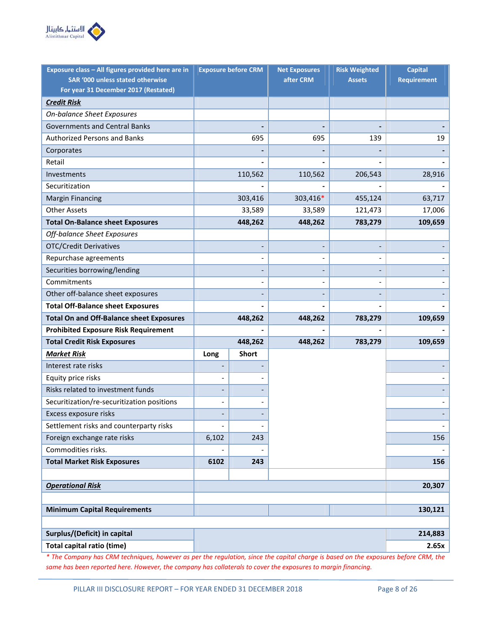

| Exposure class - All figures provided here are in |                   | <b>Exposure before CRM</b> | <b>Net Exposures</b><br><b>Risk Weighted</b> |               | <b>Capital</b>     |
|---------------------------------------------------|-------------------|----------------------------|----------------------------------------------|---------------|--------------------|
| SAR '000 unless stated otherwise                  |                   |                            | after CRM                                    | <b>Assets</b> | <b>Requirement</b> |
| For year 31 December 2017 (Restated)              |                   |                            |                                              |               |                    |
| <b>Credit Risk</b>                                |                   |                            |                                              |               |                    |
| <b>On-balance Sheet Exposures</b>                 |                   |                            |                                              |               |                    |
| <b>Governments and Central Banks</b>              |                   |                            |                                              |               |                    |
| <b>Authorized Persons and Banks</b>               |                   | 695                        | 695                                          | 139           | 19                 |
| Corporates                                        |                   |                            |                                              |               |                    |
| Retail                                            |                   |                            |                                              |               |                    |
| Investments                                       |                   | 110,562                    | 110,562                                      | 206,543       | 28,916             |
| Securitization                                    |                   |                            |                                              |               |                    |
| <b>Margin Financing</b>                           |                   | 303,416                    | 303,416*                                     | 455,124       | 63,717             |
| <b>Other Assets</b>                               |                   | 33,589                     | 33,589                                       | 121,473       | 17,006             |
| <b>Total On-Balance sheet Exposures</b>           |                   | 448,262                    | 448,262                                      | 783,279       | 109,659            |
| Off-balance Sheet Exposures                       |                   |                            |                                              |               |                    |
| <b>OTC/Credit Derivatives</b>                     |                   |                            |                                              |               |                    |
| Repurchase agreements                             |                   | $\overline{\phantom{a}}$   |                                              |               |                    |
| Securities borrowing/lending                      |                   |                            |                                              |               |                    |
| Commitments                                       |                   |                            |                                              |               |                    |
| Other off-balance sheet exposures                 |                   |                            |                                              |               |                    |
| <b>Total Off-Balance sheet Exposures</b>          |                   |                            |                                              |               |                    |
| <b>Total On and Off-Balance sheet Exposures</b>   |                   | 448,262                    | 448,262                                      | 783,279       | 109,659            |
| <b>Prohibited Exposure Risk Requirement</b>       |                   |                            |                                              |               |                    |
| <b>Total Credit Risk Exposures</b>                |                   | 448,262                    | 448,262                                      | 783,279       | 109,659            |
| <b>Market Risk</b>                                | Long              | <b>Short</b>               |                                              |               |                    |
| Interest rate risks                               |                   |                            |                                              |               |                    |
| Equity price risks                                |                   |                            |                                              |               |                    |
| Risks related to investment funds                 |                   |                            |                                              |               |                    |
| Securitization/re-securitization positions        |                   |                            |                                              |               |                    |
| Excess exposure risks                             |                   |                            |                                              |               |                    |
| Settlement risks and counterparty risks           | $\qquad \qquad -$ | $\qquad \qquad -$          |                                              |               |                    |
| Foreign exchange rate risks                       | 6,102             | 243                        |                                              |               | 156                |
| Commodities risks.                                |                   |                            |                                              |               |                    |
| <b>Total Market Risk Exposures</b>                | 6102              | 243                        |                                              |               | 156                |
|                                                   |                   |                            |                                              |               |                    |
| <b>Operational Risk</b>                           |                   |                            |                                              |               | 20,307             |
|                                                   |                   |                            |                                              |               |                    |
| <b>Minimum Capital Requirements</b>               |                   |                            |                                              |               | 130,121            |
|                                                   |                   |                            |                                              |               |                    |
| Surplus/(Deficit) in capital                      |                   |                            |                                              |               | 214,883            |
| Total capital ratio (time)                        |                   |                            |                                              |               | 2.65x              |

*\* The Company has CRM techniques, however as per the regulation, since the capital charge is based on the exposures before CRM, the same has been reported here. However, the company has collaterals to cover the exposures to margin financing.*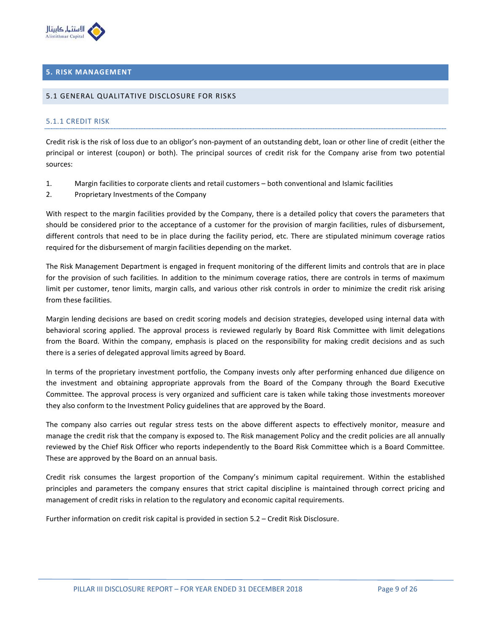

# **5. RISK MANAGEMENT**

#### 5.1 GENERAL QUALITATIVE DISCLOSURE FOR RISKS

#### 5.1.1 CREDIT RISK

Credit risk is the risk of loss due to an obligor's non-payment of an outstanding debt, loan or other line of credit (either the principal or interest (coupon) or both). The principal sources of credit risk for the Company arise from two potential sources:

- 1. Margin facilities to corporate clients and retail customers both conventional and Islamic facilities
- 2. Proprietary Investments of the Company

With respect to the margin facilities provided by the Company, there is a detailed policy that covers the parameters that should be considered prior to the acceptance of a customer for the provision of margin facilities, rules of disbursement, different controls that need to be in place during the facility period, etc. There are stipulated minimum coverage ratios required for the disbursement of margin facilities depending on the market.

The Risk Management Department is engaged in frequent monitoring of the different limits and controls that are in place for the provision of such facilities. In addition to the minimum coverage ratios, there are controls in terms of maximum limit per customer, tenor limits, margin calls, and various other risk controls in order to minimize the credit risk arising from these facilities.

Margin lending decisions are based on credit scoring models and decision strategies, developed using internal data with behavioral scoring applied. The approval process is reviewed regularly by Board Risk Committee with limit delegations from the Board. Within the company, emphasis is placed on the responsibility for making credit decisions and as such there is a series of delegated approval limits agreed by Board.

In terms of the proprietary investment portfolio, the Company invests only after performing enhanced due diligence on the investment and obtaining appropriate approvals from the Board of the Company through the Board Executive Committee. The approval process is very organized and sufficient care is taken while taking those investments moreover they also conform to the Investment Policy guidelines that are approved by the Board.

The company also carries out regular stress tests on the above different aspects to effectively monitor, measure and manage the credit risk that the company is exposed to. The Risk management Policy and the credit policies are all annually reviewed by the Chief Risk Officer who reports independently to the Board Risk Committee which is a Board Committee. These are approved by the Board on an annual basis.

Credit risk consumes the largest proportion of the Company's minimum capital requirement. Within the established principles and parameters the company ensures that strict capital discipline is maintained through correct pricing and management of credit risks in relation to the regulatory and economic capital requirements.

Further information on credit risk capital is provided in section 5.2 – Credit Risk Disclosure.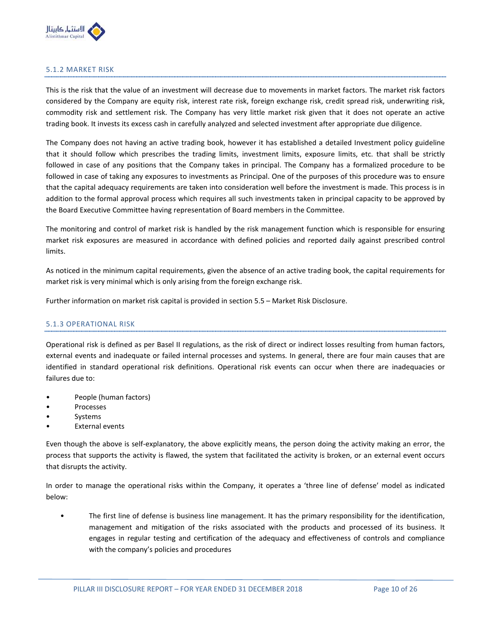

# 5.1.2 MARKET RISK

This is the risk that the value of an investment will decrease due to movements in market factors. The market risk factors considered by the Company are equity risk, interest rate risk, foreign exchange risk, credit spread risk, underwriting risk, commodity risk and settlement risk. The Company has very little market risk given that it does not operate an active trading book. It invests its excess cash in carefully analyzed and selected investment after appropriate due diligence.

The Company does not having an active trading book, however it has established a detailed Investment policy guideline that it should follow which prescribes the trading limits, investment limits, exposure limits, etc. that shall be strictly followed in case of any positions that the Company takes in principal. The Company has a formalized procedure to be followed in case of taking any exposures to investments as Principal. One of the purposes of this procedure was to ensure that the capital adequacy requirements are taken into consideration well before the investment is made. This process is in addition to the formal approval process which requires all such investments taken in principal capacity to be approved by the Board Executive Committee having representation of Board members in the Committee.

The monitoring and control of market risk is handled by the risk management function which is responsible for ensuring market risk exposures are measured in accordance with defined policies and reported daily against prescribed control limits.

As noticed in the minimum capital requirements, given the absence of an active trading book, the capital requirements for market risk is very minimal which is only arising from the foreign exchange risk.

Further information on market risk capital is provided in section 5.5 – Market Risk Disclosure.

# 5.1.3 OPERATIONAL RISK

Operational risk is defined as per Basel II regulations, as the risk of direct or indirect losses resulting from human factors, external events and inadequate or failed internal processes and systems. In general, there are four main causes that are identified in standard operational risk definitions. Operational risk events can occur when there are inadequacies or failures due to:

- People (human factors)
- Processes
- **Systems**
- **External events**

Even though the above is self-explanatory, the above explicitly means, the person doing the activity making an error, the process that supports the activity is flawed, the system that facilitated the activity is broken, or an external event occurs that disrupts the activity.

In order to manage the operational risks within the Company, it operates a 'three line of defense' model as indicated below:

• The first line of defense is business line management. It has the primary responsibility for the identification, management and mitigation of the risks associated with the products and processed of its business. It engages in regular testing and certification of the adequacy and effectiveness of controls and compliance with the company's policies and procedures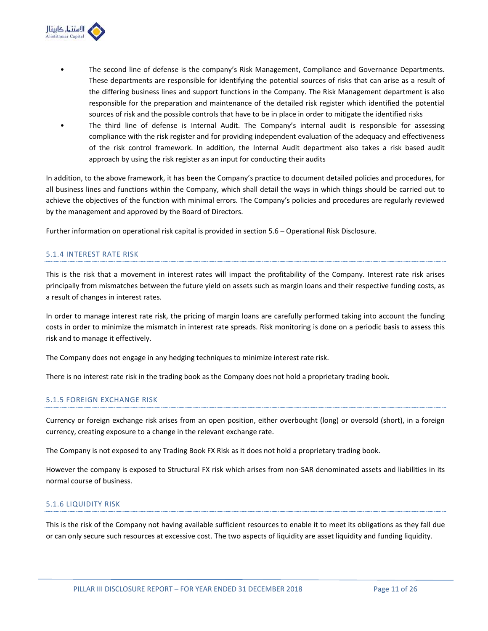

- The second line of defense is the company's Risk Management, Compliance and Governance Departments. These departments are responsible for identifying the potential sources of risks that can arise as a result of the differing business lines and support functions in the Company. The Risk Management department is also responsible for the preparation and maintenance of the detailed risk register which identified the potential sources of risk and the possible controls that have to be in place in order to mitigate the identified risks
- The third line of defense is Internal Audit. The Company's internal audit is responsible for assessing compliance with the risk register and for providing independent evaluation of the adequacy and effectiveness of the risk control framework. In addition, the Internal Audit department also takes a risk based audit approach by using the risk register as an input for conducting their audits

In addition, to the above framework, it has been the Company's practice to document detailed policies and procedures, for all business lines and functions within the Company, which shall detail the ways in which things should be carried out to achieve the objectives of the function with minimal errors. The Company's policies and procedures are regularly reviewed by the management and approved by the Board of Directors.

Further information on operational risk capital is provided in section 5.6 – Operational Risk Disclosure.

# 5.1.4 INTEREST RATE RISK

This is the risk that a movement in interest rates will impact the profitability of the Company. Interest rate risk arises principally from mismatches between the future yield on assets such as margin loans and their respective funding costs, as a result of changes in interest rates.

In order to manage interest rate risk, the pricing of margin loans are carefully performed taking into account the funding costs in order to minimize the mismatch in interest rate spreads. Risk monitoring is done on a periodic basis to assess this risk and to manage it effectively.

The Company does not engage in any hedging techniques to minimize interest rate risk.

There is no interest rate risk in the trading book as the Company does not hold a proprietary trading book.

#### 5.1.5 FOREIGN EXCHANGE RISK

Currency or foreign exchange risk arises from an open position, either overbought (long) or oversold (short), in a foreign currency, creating exposure to a change in the relevant exchange rate.

The Company is not exposed to any Trading Book FX Risk as it does not hold a proprietary trading book.

However the company is exposed to Structural FX risk which arises from non-SAR denominated assets and liabilities in its normal course of business.

#### 5.1.6 LIQUIDITY RISK

This is the risk of the Company not having available sufficient resources to enable it to meet its obligations as they fall due or can only secure such resources at excessive cost. The two aspects of liquidity are asset liquidity and funding liquidity.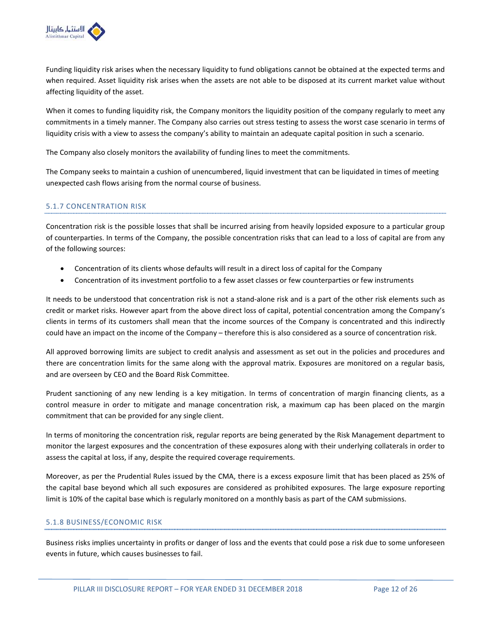

Funding liquidity risk arises when the necessary liquidity to fund obligations cannot be obtained at the expected terms and when required. Asset liquidity risk arises when the assets are not able to be disposed at its current market value without affecting liquidity of the asset.

When it comes to funding liquidity risk, the Company monitors the liquidity position of the company regularly to meet any commitments in a timely manner. The Company also carries out stress testing to assess the worst case scenario in terms of liquidity crisis with a view to assess the company's ability to maintain an adequate capital position in such a scenario.

The Company also closely monitors the availability of funding lines to meet the commitments.

The Company seeks to maintain a cushion of unencumbered, liquid investment that can be liquidated in times of meeting unexpected cash flows arising from the normal course of business.

# 5.1.7 CONCENTRATION RISK

Concentration risk is the possible losses that shall be incurred arising from heavily lopsided exposure to a particular group of counterparties. In terms of the Company, the possible concentration risks that can lead to a loss of capital are from any of the following sources:

- Concentration of its clients whose defaults will result in a direct loss of capital for the Company
- Concentration of its investment portfolio to a few asset classes or few counterparties or few instruments

It needs to be understood that concentration risk is not a stand-alone risk and is a part of the other risk elements such as credit or market risks. However apart from the above direct loss of capital, potential concentration among the Company's clients in terms of its customers shall mean that the income sources of the Company is concentrated and this indirectly could have an impact on the income of the Company – therefore this is also considered as a source of concentration risk.

All approved borrowing limits are subject to credit analysis and assessment as set out in the policies and procedures and there are concentration limits for the same along with the approval matrix. Exposures are monitored on a regular basis, and are overseen by CEO and the Board Risk Committee.

Prudent sanctioning of any new lending is a key mitigation. In terms of concentration of margin financing clients, as a control measure in order to mitigate and manage concentration risk, a maximum cap has been placed on the margin commitment that can be provided for any single client.

In terms of monitoring the concentration risk, regular reports are being generated by the Risk Management department to monitor the largest exposures and the concentration of these exposures along with their underlying collaterals in order to assess the capital at loss, if any, despite the required coverage requirements.

Moreover, as per the Prudential Rules issued by the CMA, there is a excess exposure limit that has been placed as 25% of the capital base beyond which all such exposures are considered as prohibited exposures. The large exposure reporting limit is 10% of the capital base which is regularly monitored on a monthly basis as part of the CAM submissions.

# 5.1.8 BUSINESS/ECONOMIC RISK

Business risks implies uncertainty in profits or danger of loss and the events that could pose a risk due to some unforeseen events in future, which causes businesses to fail.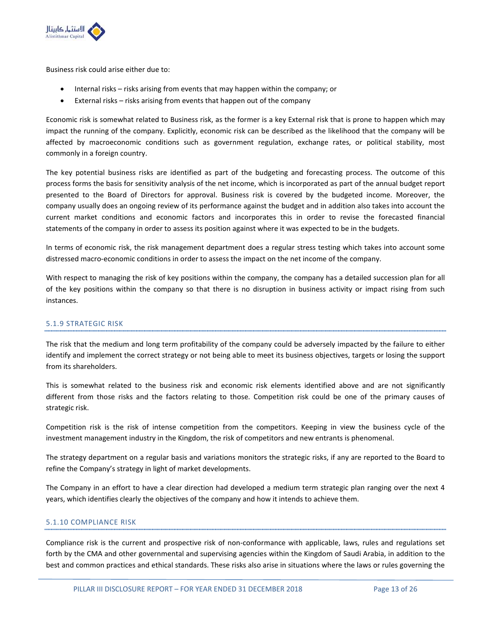

Business risk could arise either due to:

- Internal risks risks arising from events that may happen within the company; or
- External risks risks arising from events that happen out of the company

Economic risk is somewhat related to Business risk, as the former is a key External risk that is prone to happen which may impact the running of the company. Explicitly, economic risk can be described as the likelihood that the company will be affected by macroeconomic conditions such as government regulation, exchange rates, or political stability, most commonly in a foreign country.

The key potential business risks are identified as part of the budgeting and forecasting process. The outcome of this process forms the basis for sensitivity analysis of the net income, which is incorporated as part of the annual budget report presented to the Board of Directors for approval. Business risk is covered by the budgeted income. Moreover, the company usually does an ongoing review of its performance against the budget and in addition also takes into account the current market conditions and economic factors and incorporates this in order to revise the forecasted financial statements of the company in order to assess its position against where it was expected to be in the budgets.

In terms of economic risk, the risk management department does a regular stress testing which takes into account some distressed macro-economic conditions in order to assess the impact on the net income of the company.

With respect to managing the risk of key positions within the company, the company has a detailed succession plan for all of the key positions within the company so that there is no disruption in business activity or impact rising from such instances.

# 5.1.9 STRATEGIC RISK

The risk that the medium and long term profitability of the company could be adversely impacted by the failure to either identify and implement the correct strategy or not being able to meet its business objectives, targets or losing the support from its shareholders.

This is somewhat related to the business risk and economic risk elements identified above and are not significantly different from those risks and the factors relating to those. Competition risk could be one of the primary causes of strategic risk.

Competition risk is the risk of intense competition from the competitors. Keeping in view the business cycle of the investment management industry in the Kingdom, the risk of competitors and new entrants is phenomenal.

The strategy department on a regular basis and variations monitors the strategic risks, if any are reported to the Board to refine the Company's strategy in light of market developments.

The Company in an effort to have a clear direction had developed a medium term strategic plan ranging over the next 4 years, which identifies clearly the objectives of the company and how it intends to achieve them.

#### 5.1.10 COMPLIANCE RISK

Compliance risk is the current and prospective risk of non-conformance with applicable, laws, rules and regulations set forth by the CMA and other governmental and supervising agencies within the Kingdom of Saudi Arabia, in addition to the best and common practices and ethical standards. These risks also arise in situations where the laws or rules governing the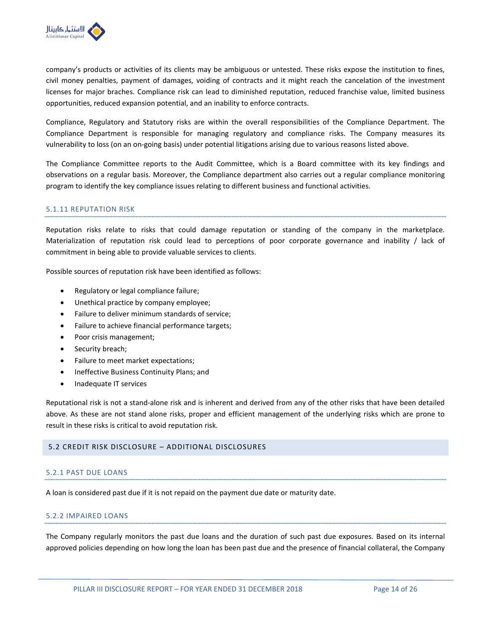

company's products or activities of its clients may be ambiguous or untested. These risks expose the institution to fines, civil money penalties, payment of damages, voiding of contracts and it might reach the cancelation of the investment licenses for major braches. Compliance risk can lead to diminished reputation, reduced franchise value, limited business opportunities, reduced expansion potential, and an inability to enforce contracts.

Compliance, Regulatory and Statutory risks are within the overall responsibilities of the Compliance Department. The Compliance Department is responsible for managing regulatory and compliance risks. The Company measures its vulnerability to loss (on an on-going basis) under potential litigations arising due to various reasons listed above.

The Compliance Committee reports to the Audit Committee, which is a Board committee with its key findings and observations on a regular basis. Moreover, the Compliance department also carries out a regular compliance monitoring program to identify the key compliance issues relating to different business and functional activities.

#### 5.1.11 REPUTATION RISK

Reputation risks relate to risks that could damage reputation or standing of the company in the marketplace. Materialization of reputation risk could lead to perceptions of poor corporate governance and inability / lack of commitment in being able to provide valuable services to clients.

Possible sources of reputation risk have been identified as follows:

- Regulatory or legal compliance failure;
- Unethical practice by company employee;
- Failure to deliver minimum standards of service;
- Failure to achieve financial performance targets;
- Poor crisis management;
- Security breach;
- Failure to meet market expectations;
- Ineffective Business Continuity Plans; and
- Inadequate IT services

Reputational risk is not a stand-alone risk and is inherent and derived from any of the other risks that have been detailed above. As these are not stand alone risks, proper and efficient management of the underlying risks which are prone to result in these risks is critical to avoid reputation risk.

# 5.2 CREDIT RISK DISCLOSURE – ADDITIONAL DISCLOSURES

#### 5.2.1 PAST DUE LOANS

A loan is considered past due if it is not repaid on the payment due date or maturity date.

#### 5.2.2 IMPAIRED LOANS

The Company regularly monitors the past due loans and the duration of such past due exposures. Based on its internal approved policies depending on how long the loan has been past due and the presence of financial collateral, the Company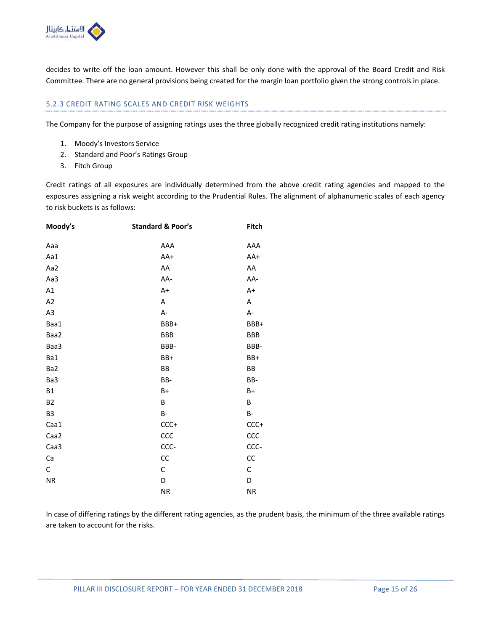

decides to write off the loan amount. However this shall be only done with the approval of the Board Credit and Risk Committee. There are no general provisions being created for the margin loan portfolio given the strong controls in place.

# 5.2.3 CREDIT RATING SCALES AND CREDIT RISK WEIGHTS

The Company for the purpose of assigning ratings uses the three globally recognized credit rating institutions namely:

- 1. Moody's Investors Service
- 2. Standard and Poor's Ratings Group
- 3. Fitch Group

Credit ratings of all exposures are individually determined from the above credit rating agencies and mapped to the exposures assigning a risk weight according to the Prudential Rules. The alignment of alphanumeric scales of each agency to risk buckets is as follows:

| Moody's        | <b>Standard &amp; Poor's</b> | Fitch      |
|----------------|------------------------------|------------|
| Aaa            | AAA                          | AAA        |
| Aa1            | AA+                          | AA+        |
| Aa2            | AA                           | AA         |
| Aa3            | AA-                          | AA-        |
| A1             | $A+$                         | A+         |
| A2             | Α                            | Α          |
| A <sub>3</sub> | A-                           | А-         |
| Baa1           | BBB+                         | BBB+       |
| Baa2           | <b>BBB</b>                   | <b>BBB</b> |
| Baa3           | BBB-                         | BBB-       |
| Ba1            | BB+                          | BB+        |
| Ba2            | BB                           | BB         |
| Ba3            | BB-                          | BB-        |
| <b>B1</b>      | $B+$                         | $B+$       |
| <b>B2</b>      | B                            | B          |
| B <sub>3</sub> | B-                           | B-         |
| Caa1           | $CCC +$                      | $CCC +$    |
| Caa2           | CCC                          | CCC        |
| Caa3           | CCC-                         | CCC-       |
| Ca             | CC                           | CC         |
| С              | $\mathsf C$                  | С          |
| NR             | D                            | D          |
|                | <b>NR</b>                    | <b>NR</b>  |

In case of differing ratings by the different rating agencies, as the prudent basis, the minimum of the three available ratings are taken to account for the risks.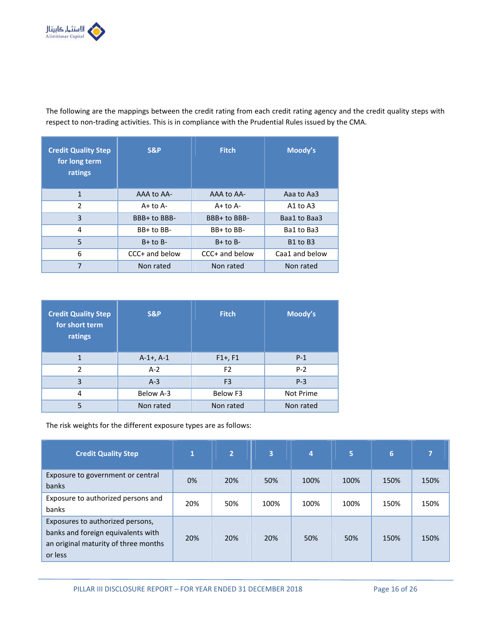

The following are the mappings between the credit rating from each credit rating agency and the credit quality steps with respect to non-trading activities. This is in compliance with the Prudential Rules issued by the CMA.

| <b>Credit Quality Step</b><br>for long term<br>ratings | <b>S&amp;P</b> | <b>Fitch</b>   | Moody's                          |
|--------------------------------------------------------|----------------|----------------|----------------------------------|
| 1                                                      | AAA to AA-     | AAA to AA-     | Aaa to Aa3                       |
| $\overline{2}$                                         | $A+$ to $A-$   | $A+$ to $A-$   | A1 to A3                         |
| 3                                                      | BBB+ to BBB-   | BBB+ to BBB-   | Baa1 to Baa3                     |
| 4                                                      | BB+ to BB-     | BB+ to BB-     | Ba1 to Ba3                       |
| 5                                                      | $B+$ to $B-$   | $B+$ to $B-$   | B <sub>1</sub> to B <sub>3</sub> |
| 6                                                      | CCC+ and below | CCC+ and below | Caa1 and below                   |
| 7                                                      | Non rated      | Non rated      | Non rated                        |

| <b>Credit Quality Step</b><br>for short term<br>ratings | S&P            | <b>Fitch</b>   | Moody's   |
|---------------------------------------------------------|----------------|----------------|-----------|
| 1                                                       | $A-1+$ , $A-1$ | $F1+, F1$      | $P-1$     |
| $\mathfrak z$                                           | $A-2$          | F <sub>2</sub> | $P-2$     |
| 3                                                       | $A-3$          | F <sub>3</sub> | $P-3$     |
| 4                                                       | Below A-3      | Below F3       | Not Prime |
| 5                                                       | Non rated      | Non rated      | Non rated |

The risk weights for the different exposure types are as follows:

| <b>Credit Quality Step</b>                                                                                                | $\mathbf{1}$ | $\overline{2}$ | 3    | 4    | 5    | 6    |      |
|---------------------------------------------------------------------------------------------------------------------------|--------------|----------------|------|------|------|------|------|
| Exposure to government or central<br>banks                                                                                | 0%           | 20%            | 50%  | 100% | 100% | 150% | 150% |
| Exposure to authorized persons and<br>banks                                                                               | 20%          | 50%            | 100% | 100% | 100% | 150% | 150% |
| Exposures to authorized persons,<br>banks and foreign equivalents with<br>an original maturity of three months<br>or less | 20%          | 20%            | 20%  | 50%  | 50%  | 150% | 150% |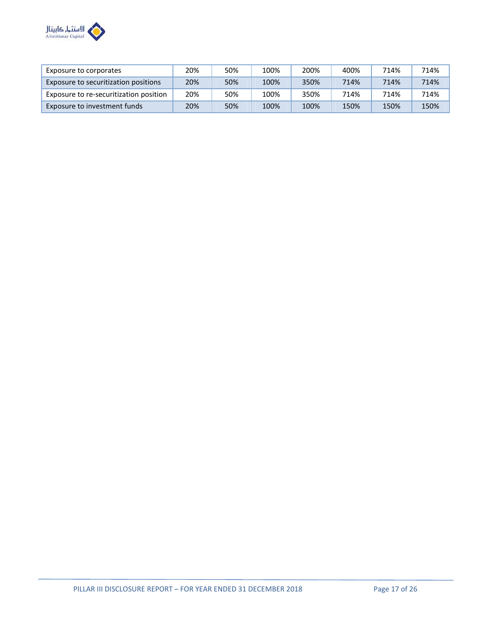

| Exposure to corporates                 | 20% | 50% | 100% | 200% | 400% | 714% | 714% |
|----------------------------------------|-----|-----|------|------|------|------|------|
| Exposure to securitization positions   | 20% | 50% | 100% | 350% | 714% | 714% | 714% |
| Exposure to re-securitization position | 20% | 50% | 100% | 350% | 714% | 714% | 714% |
| Exposure to investment funds           | 20% | 50% | 100% | 100% | 150% | 150% | 150% |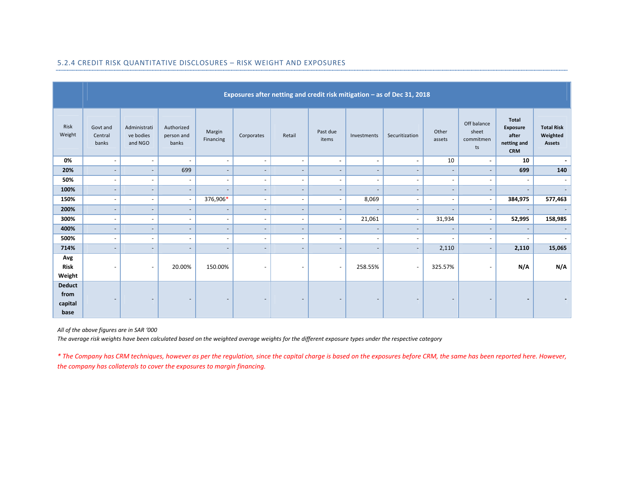|                                          | Exposures after netting and credit risk mitigation - as of Dec 31, 2018 |                                      |                                   |                          |                          |                          |                          |                          |                          |                          |                                         |                                                                       |                                                |
|------------------------------------------|-------------------------------------------------------------------------|--------------------------------------|-----------------------------------|--------------------------|--------------------------|--------------------------|--------------------------|--------------------------|--------------------------|--------------------------|-----------------------------------------|-----------------------------------------------------------------------|------------------------------------------------|
| Risk<br>Weight                           | Govt and<br>Central<br>banks                                            | Administrati<br>ve bodies<br>and NGO | Authorized<br>person and<br>banks | Margin<br>Financing      | Corporates               | Retail                   | Past due<br>items        | Investments              | Securitization           | Other<br>assets          | Off balance<br>sheet<br>commitmen<br>ts | <b>Total</b><br><b>Exposure</b><br>after<br>netting and<br><b>CRM</b> | <b>Total Risk</b><br>Weighted<br><b>Assets</b> |
| 0%                                       | $\blacksquare$                                                          | $\sim$                               | $\overline{\phantom{a}}$          | $\blacksquare$           | $\overline{\phantom{a}}$ | $\overline{\phantom{a}}$ | $\blacksquare$           | $\sim$                   | $\blacksquare$           | 10                       | $\sim$                                  | 10                                                                    | ۰.                                             |
| 20%                                      | $\overline{\phantom{a}}$                                                | $\sim$                               | 699                               | $\overline{\phantom{a}}$ | $\overline{\phantom{a}}$ | $\overline{\phantom{a}}$ | $\overline{\phantom{a}}$ | $\overline{\phantom{a}}$ | $\sim$                   | $\overline{\phantom{a}}$ | $\overline{\phantom{a}}$                | 699                                                                   | 140                                            |
| 50%                                      | $\qquad \qquad \blacksquare$                                            | $\sim$                               | $\overline{\phantom{a}}$          | $\overline{\phantom{a}}$ | $\sim$                   | $\overline{\phantom{a}}$ | $\overline{\phantom{a}}$ | $\sim$                   | $\overline{\phantom{a}}$ | $\overline{\phantom{a}}$ | $\overline{\phantom{a}}$                | $\overline{\phantom{a}}$                                              | $\overline{\phantom{a}}$                       |
| 100%                                     | $\qquad \qquad \blacksquare$                                            | $\overline{\phantom{a}}$             | $\overline{\phantom{a}}$          | $\overline{\phantom{0}}$ | $\overline{\phantom{a}}$ | $\overline{\phantom{a}}$ | $\overline{\phantom{a}}$ | $\overline{\phantom{a}}$ | $\overline{\phantom{a}}$ | $\overline{\phantom{a}}$ |                                         | $\overline{\phantom{a}}$                                              | $\overline{\phantom{0}}$                       |
| 150%                                     | $\overline{\phantom{a}}$                                                | $\sim$                               | $\overline{\phantom{a}}$          | 376,906*                 | $\overline{\phantom{a}}$ | $\overline{\phantom{a}}$ | $\overline{\phantom{a}}$ | 8,069                    | $\overline{\phantom{a}}$ | $\overline{\phantom{a}}$ | $\overline{\phantom{a}}$                | 384,975                                                               | 577,463                                        |
| 200%                                     | $\overline{\phantom{a}}$                                                | $\overline{\phantom{a}}$             | $\overline{\phantom{a}}$          | $\overline{\phantom{a}}$ | $\overline{\phantom{a}}$ | $\overline{\phantom{a}}$ | $\overline{\phantom{a}}$ |                          | $\overline{\phantom{a}}$ | $\overline{\phantom{a}}$ | $\overline{\phantom{a}}$                | $\overline{\phantom{a}}$                                              |                                                |
| 300%                                     | $\overline{\phantom{a}}$                                                | $\sim$                               | $\overline{\phantom{a}}$          | $\overline{\phantom{a}}$ | $\sim$                   | $\overline{\phantom{a}}$ | $\overline{\phantom{a}}$ | 21,061                   | $\sim$                   | 31,934                   | $\sim$                                  | 52,995                                                                | 158,985                                        |
| 400%                                     | $\qquad \qquad \blacksquare$                                            | $\overline{\phantom{a}}$             | ٠                                 | $\overline{\phantom{0}}$ | $\overline{\phantom{a}}$ | -                        | $\overline{\phantom{a}}$ | $\overline{\phantom{a}}$ | $\overline{\phantom{a}}$ | $\qquad \qquad -$        | $\overline{\phantom{a}}$                | $\overline{\phantom{a}}$                                              |                                                |
| 500%                                     | $\qquad \qquad \blacksquare$                                            | $\sim$                               | $\overline{\phantom{a}}$          | $\blacksquare$           | $\overline{\phantom{a}}$ | $\overline{\phantom{a}}$ | $\overline{\phantom{a}}$ | $\overline{\phantom{a}}$ | $\overline{\phantom{a}}$ | $\overline{\phantom{a}}$ | $\sim$                                  | $\overline{\phantom{a}}$                                              |                                                |
| 714%                                     | $\qquad \qquad -$                                                       | $\overline{\phantom{a}}$             | $\overline{\phantom{a}}$          | $\overline{\phantom{0}}$ | $\overline{\phantom{a}}$ | $\overline{\phantom{a}}$ | $\overline{\phantom{a}}$ | $\overline{\phantom{a}}$ | $\sim$                   | 2,110                    | $\blacksquare$                          | 2,110                                                                 | 15,065                                         |
| Avg<br>Risk<br>Weight                    | $\overline{\phantom{a}}$                                                | $\overline{\phantom{a}}$             | 20.00%                            | 150.00%                  | $\overline{\phantom{a}}$ | $\overline{\phantom{a}}$ | $\overline{\phantom{a}}$ | 258.55%                  | $\overline{\phantom{a}}$ | 325.57%                  |                                         | N/A                                                                   | N/A                                            |
| <b>Deduct</b><br>from<br>capital<br>base | $\qquad \qquad \blacksquare$                                            | $\overline{\phantom{a}}$             | $\overline{\phantom{a}}$          | $\overline{\phantom{a}}$ | $\overline{\phantom{a}}$ | $\qquad \qquad -$        | $\overline{\phantom{a}}$ | $\overline{\phantom{a}}$ | $\overline{\phantom{a}}$ | $\overline{\phantom{a}}$ | $\overline{\phantom{a}}$                | $\blacksquare$                                                        |                                                |

# 5.2.4 CREDIT RISK QUANTITATIVE DISCLOSURES – RISK WEIGHT AND EXPOSURES

*All of the above figures are in SAR '000*

*The average risk weights have been calculated based on the weighted average weights for the different exposure types under the respective category*

*\* The Company has CRM techniques, however as per the regulation, since the capital charge is based on the exposures before CRM, the same has been reported here. However, the company has collaterals to cover the exposures to margin financing.*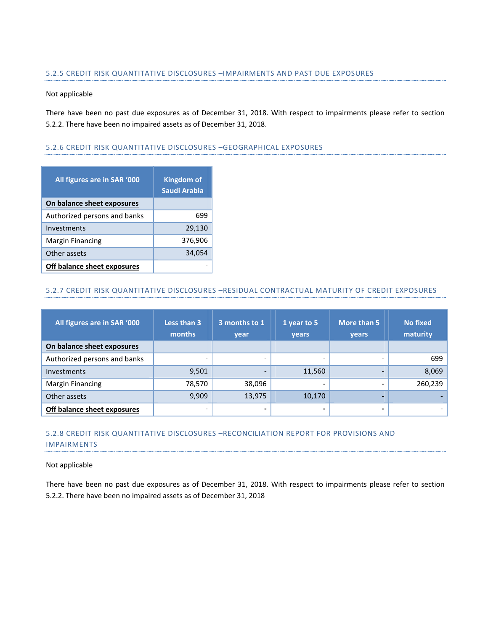#### 5.2.5 CREDIT RISK QUANTITATIVE DISCLOSURES –IMPAIRMENTS AND PAST DUE EXPOSURES

#### Not applicable

There have been no past due exposures as of December 31, 2018. With respect to impairments please refer to section 5.2.2. There have been no impaired assets as of December 31, 2018.

#### 5.2.6 CREDIT RISK QUANTITATIVE DISCLOSURES –GEOGRAPHICAL EXPOSURES

| All figures are in SAR '000  | <b>Kingdom of</b><br>Saudi Arabia |
|------------------------------|-----------------------------------|
| On balance sheet exposures   |                                   |
| Authorized persons and banks | 699                               |
| Investments                  | 29,130                            |
| <b>Margin Financing</b>      | 376,906                           |
| Other assets                 | 34,054                            |
| Off balance sheet exposures  |                                   |

# 5.2.7 CREDIT RISK QUANTITATIVE DISCLOSURES –RESIDUAL CONTRACTUAL MATURITY OF CREDIT EXPOSURES

| All figures are in SAR '000  | Less than 3<br>months    | 3 months to 1<br>year    |                          | More than 5<br><b>vears</b> | No fixed<br>maturity |
|------------------------------|--------------------------|--------------------------|--------------------------|-----------------------------|----------------------|
| On balance sheet exposures   |                          |                          |                          |                             |                      |
| Authorized persons and banks | $\overline{\phantom{0}}$ | $\overline{\phantom{a}}$ | $\overline{\phantom{0}}$ |                             | 699                  |
| Investments                  | 9,501                    | -                        | 11,560                   |                             | 8,069                |
| <b>Margin Financing</b>      | 78,570                   | 38,096                   | $\overline{\phantom{0}}$ |                             | 260,239              |
| Other assets                 | 9,909                    | 13,975                   | 10,170                   |                             |                      |
| Off balance sheet exposures  | $\overline{\phantom{0}}$ | -                        | -                        |                             |                      |

# 5.2.8 CREDIT RISK QUANTITATIVE DISCLOSURES –RECONCILIATION REPORT FOR PROVISIONS AND IMPAIRMENTS

#### Not applicable

There have been no past due exposures as of December 31, 2018. With respect to impairments please refer to section 5.2.2. There have been no impaired assets as of December 31, 2018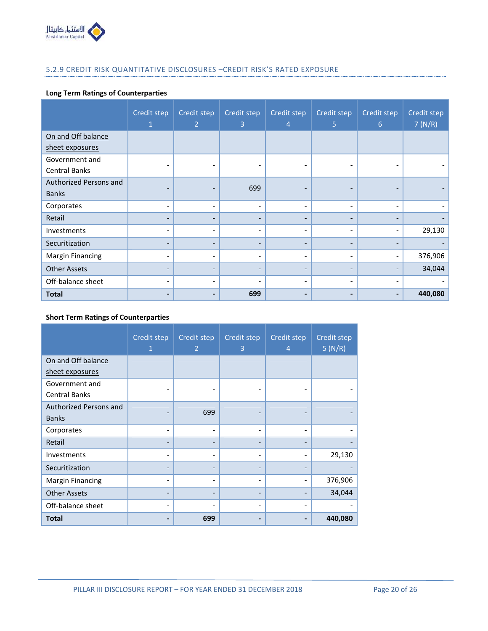

# 5.2.9 CREDIT RISK QUANTITATIVE DISCLOSURES –CREDIT RISK'S RATED EXPOSURE

# **Long Term Ratings of Counterparties**

|                         | Credit step              | Credit step<br>$\overline{2}$ | Credit step<br>$\overline{3}$ | Credit step<br>4             | Credit step<br>5         | Credit step<br>6             | Credit step<br>7(N/R) |
|-------------------------|--------------------------|-------------------------------|-------------------------------|------------------------------|--------------------------|------------------------------|-----------------------|
| On and Off balance      |                          |                               |                               |                              |                          |                              |                       |
| sheet exposures         |                          |                               |                               |                              |                          |                              |                       |
| Government and          |                          | $\overline{\phantom{0}}$      |                               |                              |                          |                              |                       |
| <b>Central Banks</b>    |                          |                               |                               |                              |                          |                              |                       |
| Authorized Persons and  | -                        | $\overline{\phantom{0}}$      | 699                           |                              |                          |                              |                       |
| <b>Banks</b>            |                          |                               |                               | $\qquad \qquad \blacksquare$ | $\qquad \qquad$          |                              |                       |
| Corporates              | $\overline{\phantom{a}}$ | $\overline{\phantom{a}}$      | $\overline{\phantom{0}}$      | $\overline{\phantom{a}}$     | ٠                        | $\qquad \qquad \blacksquare$ |                       |
| Retail                  | $\qquad \qquad -$        | -                             | -                             | $\qquad \qquad \blacksquare$ |                          |                              |                       |
| Investments             | $\overline{\phantom{a}}$ | $\overline{\phantom{a}}$      | -                             | $\overline{\phantom{a}}$     | $\overline{\phantom{a}}$ | $\qquad \qquad \blacksquare$ | 29,130                |
| Securitization          |                          | $\overline{\phantom{0}}$      |                               | $\qquad \qquad \blacksquare$ |                          |                              |                       |
| <b>Margin Financing</b> | ٠                        | $\overline{\phantom{a}}$      | $\overline{\phantom{0}}$      | $\overline{\phantom{a}}$     |                          |                              | 376,906               |
| <b>Other Assets</b>     | $\overline{\phantom{a}}$ | $\overline{\phantom{a}}$      | $\overline{\phantom{0}}$      | $\overline{\phantom{a}}$     | $\qquad \qquad$          |                              | 34,044                |
| Off-balance sheet       | ٠                        | ٠                             |                               | $\overline{\phantom{a}}$     | $\qquad \qquad$          |                              |                       |
| <b>Total</b>            | $\overline{\phantom{0}}$ | $\blacksquare$                | 699                           | $\blacksquare$               |                          |                              | 440,080               |

#### **Short Term Ratings of Counterparties**

|                         | Credit step<br>1 | Credit step<br>2         | Credit step<br>3 | Credit step<br>$\overline{4}$ | Credit step<br>5(N/R) |
|-------------------------|------------------|--------------------------|------------------|-------------------------------|-----------------------|
| On and Off balance      |                  |                          |                  |                               |                       |
| sheet exposures         |                  |                          |                  |                               |                       |
| Government and          |                  |                          |                  |                               |                       |
| <b>Central Banks</b>    |                  |                          |                  |                               |                       |
| Authorized Persons and  |                  | 699                      |                  |                               |                       |
| <b>Banks</b>            |                  |                          |                  |                               |                       |
| Corporates              |                  | $\overline{\phantom{a}}$ |                  | $\qquad \qquad \blacksquare$  |                       |
| Retail                  |                  |                          |                  |                               |                       |
| Investments             |                  |                          |                  | $\overline{a}$                | 29,130                |
| Securitization          |                  |                          |                  |                               |                       |
| <b>Margin Financing</b> |                  |                          |                  |                               | 376,906               |
| <b>Other Assets</b>     |                  |                          |                  |                               | 34,044                |
| Off-balance sheet       |                  |                          |                  | $\overline{\phantom{0}}$      |                       |
| <b>Total</b>            |                  | 699                      |                  |                               | 440,080               |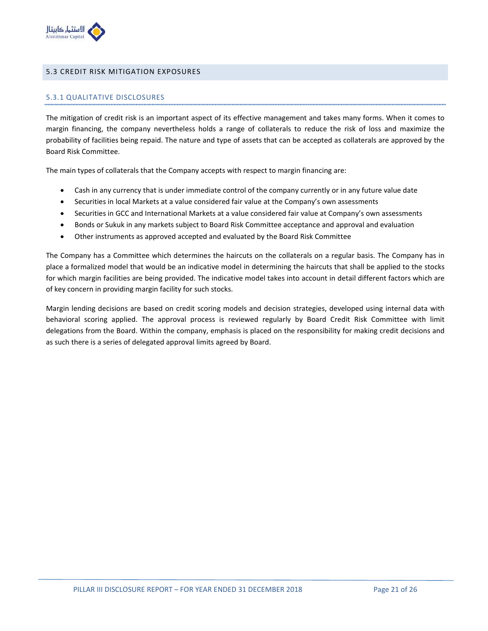

#### 5.3 CREDIT RISK MITIGATION EXPOSURES

#### 5.3.1 QUALITATIVE DISCLOSURES

The mitigation of credit risk is an important aspect of its effective management and takes many forms. When it comes to margin financing, the company nevertheless holds a range of collaterals to reduce the risk of loss and maximize the probability of facilities being repaid. The nature and type of assets that can be accepted as collaterals are approved by the Board Risk Committee.

The main types of collaterals that the Company accepts with respect to margin financing are:

- Cash in any currency that is under immediate control of the company currently or in any future value date
- Securities in local Markets at a value considered fair value at the Company's own assessments
- Securities in GCC and International Markets at a value considered fair value at Company's own assessments
- Bonds or Sukuk in any markets subject to Board Risk Committee acceptance and approval and evaluation
- Other instruments as approved accepted and evaluated by the Board Risk Committee

The Company has a Committee which determines the haircuts on the collaterals on a regular basis. The Company has in place a formalized model that would be an indicative model in determining the haircuts that shall be applied to the stocks for which margin facilities are being provided. The indicative model takes into account in detail different factors which are of key concern in providing margin facility for such stocks.

Margin lending decisions are based on credit scoring models and decision strategies, developed using internal data with behavioral scoring applied. The approval process is reviewed regularly by Board Credit Risk Committee with limit delegations from the Board. Within the company, emphasis is placed on the responsibility for making credit decisions and as such there is a series of delegated approval limits agreed by Board.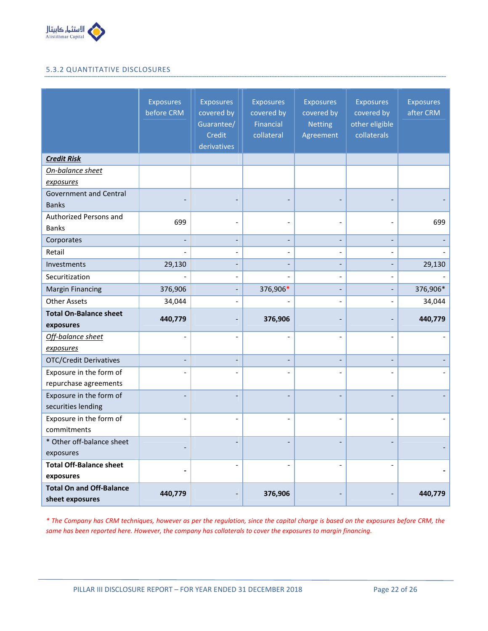

# 5.3.2 QUANTITATIVE DISCLOSURES

|                                                    | <b>Exposures</b><br>before CRM | Exposures<br>covered by<br>Guarantee/<br>Credit<br>derivatives | <b>Exposures</b><br>covered by<br>Financial<br>collateral | <b>Exposures</b><br>covered by<br><b>Netting</b><br>Agreement | <b>Exposures</b><br>covered by<br>other eligible<br>collaterals | <b>Exposures</b><br>after CRM |
|----------------------------------------------------|--------------------------------|----------------------------------------------------------------|-----------------------------------------------------------|---------------------------------------------------------------|-----------------------------------------------------------------|-------------------------------|
| <b>Credit Risk</b>                                 |                                |                                                                |                                                           |                                                               |                                                                 |                               |
| On-balance sheet                                   |                                |                                                                |                                                           |                                                               |                                                                 |                               |
| exposures                                          |                                |                                                                |                                                           |                                                               |                                                                 |                               |
| <b>Government and Central</b><br><b>Banks</b>      |                                |                                                                |                                                           |                                                               |                                                                 |                               |
| Authorized Persons and                             |                                |                                                                |                                                           |                                                               |                                                                 |                               |
| <b>Banks</b>                                       | 699                            |                                                                |                                                           |                                                               |                                                                 | 699                           |
| Corporates                                         |                                |                                                                |                                                           |                                                               |                                                                 |                               |
| Retail                                             |                                |                                                                |                                                           | $\overline{\phantom{a}}$                                      |                                                                 |                               |
| Investments                                        | 29,130                         |                                                                |                                                           |                                                               |                                                                 | 29,130                        |
| Securitization                                     |                                |                                                                |                                                           | $\overline{a}$                                                |                                                                 |                               |
| <b>Margin Financing</b>                            | 376,906                        |                                                                | 376,906*                                                  | $\overline{a}$                                                | $\overline{\phantom{0}}$                                        | 376,906*                      |
| <b>Other Assets</b>                                | 34,044                         |                                                                |                                                           | $\overline{\phantom{a}}$                                      |                                                                 | 34,044                        |
| <b>Total On-Balance sheet</b><br>exposures         | 440,779                        |                                                                | 376,906                                                   |                                                               |                                                                 | 440,779                       |
| Off-balance sheet                                  |                                |                                                                |                                                           |                                                               |                                                                 |                               |
| exposures                                          |                                |                                                                |                                                           |                                                               |                                                                 |                               |
| <b>OTC/Credit Derivatives</b>                      |                                |                                                                |                                                           |                                                               |                                                                 |                               |
| Exposure in the form of<br>repurchase agreements   |                                |                                                                |                                                           |                                                               |                                                                 |                               |
| Exposure in the form of<br>securities lending      |                                |                                                                |                                                           |                                                               |                                                                 |                               |
| Exposure in the form of<br>commitments             | $\overline{\phantom{a}}$       |                                                                |                                                           | $\overline{a}$                                                |                                                                 |                               |
| * Other off-balance sheet                          |                                |                                                                |                                                           |                                                               |                                                                 |                               |
| exposures                                          |                                |                                                                |                                                           |                                                               |                                                                 |                               |
| <b>Total Off-Balance sheet</b>                     |                                |                                                                |                                                           |                                                               |                                                                 |                               |
| exposures                                          | $\overline{\phantom{a}}$       |                                                                |                                                           |                                                               |                                                                 |                               |
| <b>Total On and Off-Balance</b><br>sheet exposures | 440,779                        |                                                                | 376,906                                                   |                                                               |                                                                 | 440,779                       |

*\* The Company has CRM techniques, however as per the regulation, since the capital charge is based on the exposures before CRM, the same has been reported here. However, the company has collaterals to cover the exposures to margin financing.*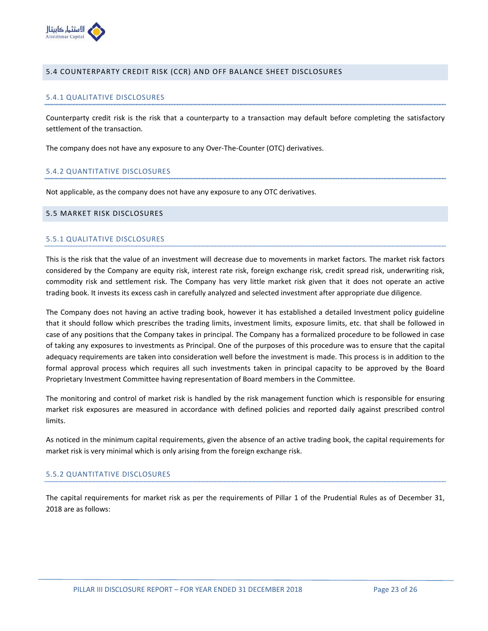

#### 5.4 COUNTERPARTY CREDIT RISK (CCR) AND OFF BALANCE SHEET DISCLOSURES

#### 5.4.1 QUALITATIVE DISCLOSURES

Counterparty credit risk is the risk that a counterparty to a transaction may default before completing the satisfactory settlement of the transaction.

The company does not have any exposure to any Over-The-Counter (OTC) derivatives.

#### 5.4.2 QUANTITATIVE DISCLOSURES

Not applicable, as the company does not have any exposure to any OTC derivatives.

#### 5.5 MARKET RISK DISCLOSURES

#### 5.5.1 QUALITATIVE DISCLOSURES

This is the risk that the value of an investment will decrease due to movements in market factors. The market risk factors considered by the Company are equity risk, interest rate risk, foreign exchange risk, credit spread risk, underwriting risk, commodity risk and settlement risk. The Company has very little market risk given that it does not operate an active trading book. It invests its excess cash in carefully analyzed and selected investment after appropriate due diligence.

The Company does not having an active trading book, however it has established a detailed Investment policy guideline that it should follow which prescribes the trading limits, investment limits, exposure limits, etc. that shall be followed in case of any positions that the Company takes in principal. The Company has a formalized procedure to be followed in case of taking any exposures to investments as Principal. One of the purposes of this procedure was to ensure that the capital adequacy requirements are taken into consideration well before the investment is made. This process is in addition to the formal approval process which requires all such investments taken in principal capacity to be approved by the Board Proprietary Investment Committee having representation of Board members in the Committee.

The monitoring and control of market risk is handled by the risk management function which is responsible for ensuring market risk exposures are measured in accordance with defined policies and reported daily against prescribed control limits.

As noticed in the minimum capital requirements, given the absence of an active trading book, the capital requirements for market risk is very minimal which is only arising from the foreign exchange risk.

# 5.5.2 QUANTITATIVE DISCLOSURES

The capital requirements for market risk as per the requirements of Pillar 1 of the Prudential Rules as of December 31, 2018 are as follows: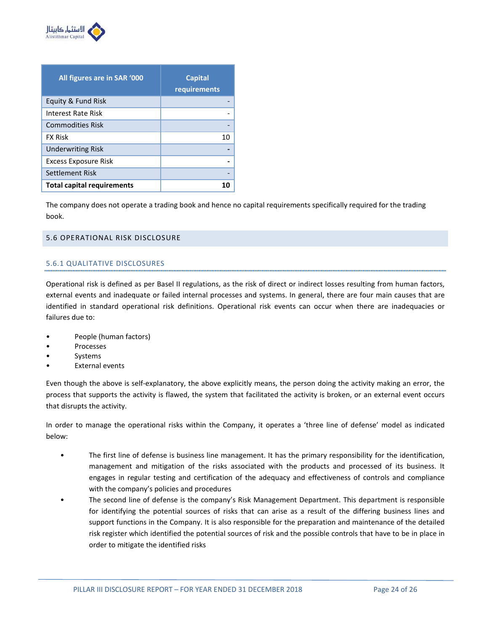

| All figures are in SAR '000       | <b>Capital</b><br>requirements |
|-----------------------------------|--------------------------------|
| Equity & Fund Risk                |                                |
| Interest Rate Risk                |                                |
| <b>Commodities Risk</b>           |                                |
| <b>FX Risk</b>                    | 10                             |
| <b>Underwriting Risk</b>          |                                |
| <b>Excess Exposure Risk</b>       |                                |
| Settlement Risk                   |                                |
| <b>Total capital requirements</b> |                                |

The company does not operate a trading book and hence no capital requirements specifically required for the trading book.

# 5.6 OPERATIONAL RISK DISCLOSURE

# 5.6.1 QUALITATIVE DISCLOSURES

Operational risk is defined as per Basel II regulations, as the risk of direct or indirect losses resulting from human factors, external events and inadequate or failed internal processes and systems. In general, there are four main causes that are identified in standard operational risk definitions. Operational risk events can occur when there are inadequacies or failures due to:

- People (human factors)
- **Processes**
- **Systems**
- **External events**

Even though the above is self-explanatory, the above explicitly means, the person doing the activity making an error, the process that supports the activity is flawed, the system that facilitated the activity is broken, or an external event occurs that disrupts the activity.

In order to manage the operational risks within the Company, it operates a 'three line of defense' model as indicated below:

- The first line of defense is business line management. It has the primary responsibility for the identification, management and mitigation of the risks associated with the products and processed of its business. It engages in regular testing and certification of the adequacy and effectiveness of controls and compliance with the company's policies and procedures
- The second line of defense is the company's Risk Management Department. This department is responsible for identifying the potential sources of risks that can arise as a result of the differing business lines and support functions in the Company. It is also responsible for the preparation and maintenance of the detailed risk register which identified the potential sources of risk and the possible controls that have to be in place in order to mitigate the identified risks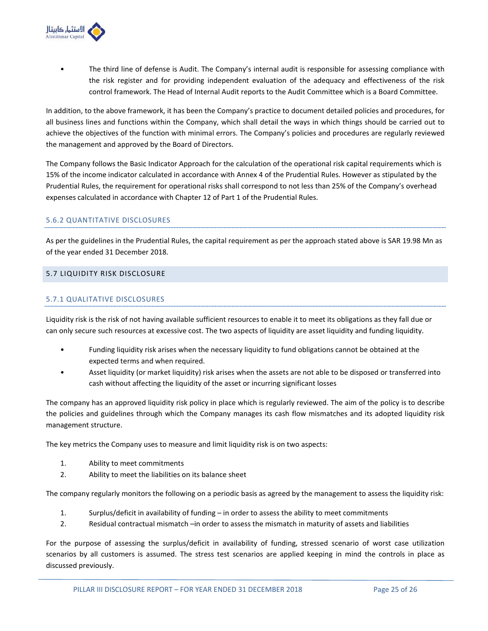

• The third line of defense is Audit. The Company's internal audit is responsible for assessing compliance with the risk register and for providing independent evaluation of the adequacy and effectiveness of the risk control framework. The Head of Internal Audit reports to the Audit Committee which is a Board Committee.

In addition, to the above framework, it has been the Company's practice to document detailed policies and procedures, for all business lines and functions within the Company, which shall detail the ways in which things should be carried out to achieve the objectives of the function with minimal errors. The Company's policies and procedures are regularly reviewed the management and approved by the Board of Directors.

The Company follows the Basic Indicator Approach for the calculation of the operational risk capital requirements which is 15% of the income indicator calculated in accordance with Annex 4 of the Prudential Rules. However as stipulated by the Prudential Rules, the requirement for operational risks shall correspond to not less than 25% of the Company's overhead expenses calculated in accordance with Chapter 12 of Part 1 of the Prudential Rules.

# 5.6.2 QUANTITATIVE DISCLOSURES

As per the guidelines in the Prudential Rules, the capital requirement as per the approach stated above is SAR 19.98 Mn as of the year ended 31 December 2018.

# 5.7 LIQUIDITY RISK DISCLOSURE

# 5.7.1 QUALITATIVE DISCLOSURES

Liquidity risk is the risk of not having available sufficient resources to enable it to meet its obligations as they fall due or can only secure such resources at excessive cost. The two aspects of liquidity are asset liquidity and funding liquidity.

- Funding liquidity risk arises when the necessary liquidity to fund obligations cannot be obtained at the expected terms and when required.
- Asset liquidity (or market liquidity) risk arises when the assets are not able to be disposed or transferred into cash without affecting the liquidity of the asset or incurring significant losses

The company has an approved liquidity risk policy in place which is regularly reviewed. The aim of the policy is to describe the policies and guidelines through which the Company manages its cash flow mismatches and its adopted liquidity risk management structure.

The key metrics the Company uses to measure and limit liquidity risk is on two aspects:

- 1. Ability to meet commitments
- 2. Ability to meet the liabilities on its balance sheet

The company regularly monitors the following on a periodic basis as agreed by the management to assess the liquidity risk:

- 1. Surplus/deficit in availability of funding in order to assess the ability to meet commitments
- 2. Residual contractual mismatch –in order to assess the mismatch in maturity of assets and liabilities

For the purpose of assessing the surplus/deficit in availability of funding, stressed scenario of worst case utilization scenarios by all customers is assumed. The stress test scenarios are applied keeping in mind the controls in place as discussed previously.